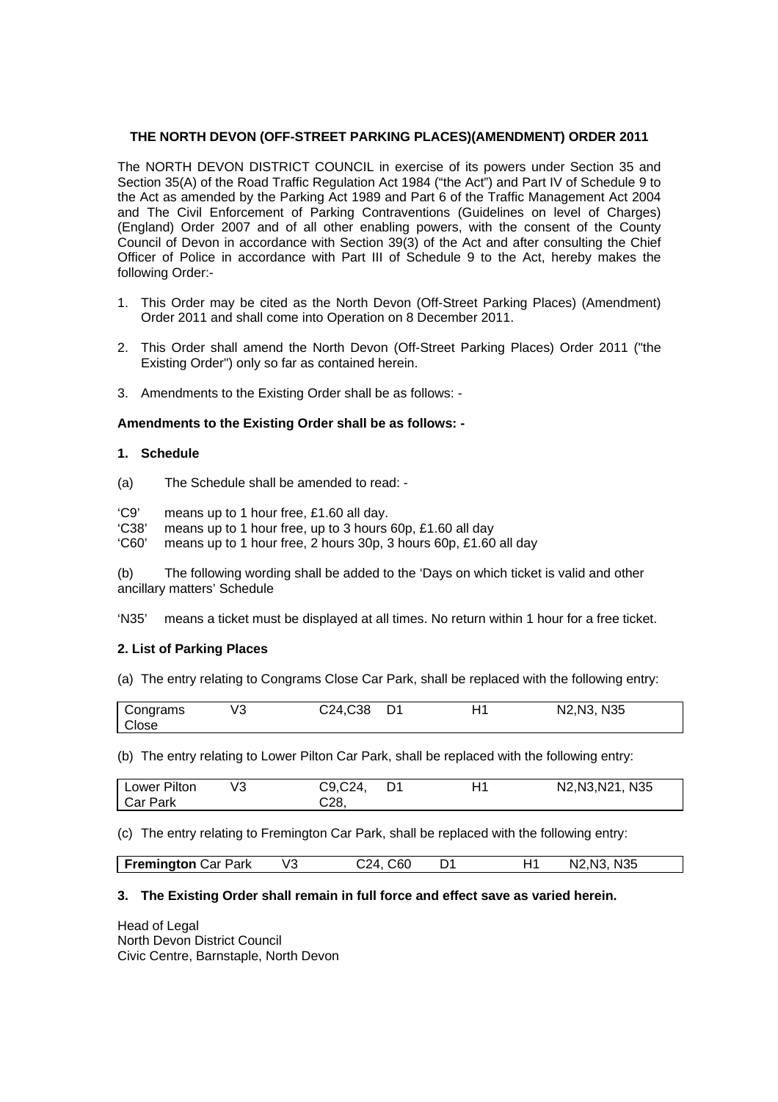# **THE NORTH DEVON (OFF-STREET PARKING PLACES)(AMENDMENT) ORDER 2011**

The NORTH DEVON DISTRICT COUNCIL in exercise of its powers under Section 35 and Section 35(A) of the Road Traffic Regulation Act 1984 ("the Act") and Part IV of Schedule 9 to the Act as amended by the Parking Act 1989 and Part 6 of the Traffic Management Act 2004 and The Civil Enforcement of Parking Contraventions (Guidelines on level of Charges) (England) Order 2007 and of all other enabling powers, with the consent of the County Council of Devon in accordance with Section 39(3) of the Act and after consulting the Chief Officer of Police in accordance with Part III of Schedule 9 to the Act, hereby makes the following Order:-

- 1. This Order may be cited as the North Devon (Off-Street Parking Places) (Amendment) Order 2011 and shall come into Operation on 8 December 2011.
- 2. This Order shall amend the North Devon (Off-Street Parking Places) Order 2011 ("the Existing Order") only so far as contained herein.
- 3. Amendments to the Existing Order shall be as follows: -

# **Amendments to the Existing Order shall be as follows: -**

### **1. Schedule**

- (a) The Schedule shall be amended to read: -
- 'C9' means up to 1 hour free, £1.60 all day.
- 'C38' means up to 1 hour free, up to 3 hours 60p, £1.60 all day
- 'C60' means up to 1 hour free, 2 hours 30p, 3 hours 60p, £1.60 all day

(b) The following wording shall be added to the 'Days on which ticket is valid and other ancillary matters' Schedule

'N35' means a ticket must be displayed at all times. No return within 1 hour for a free ticket.

# **2. List of Parking Places**

(a) The entry relating to Congrams Close Car Park, shall be replaced with the following entry:

| Congrams     | V3 | C24,C38 D1 | H1 | N <sub>2</sub> , N <sub>35</sub> |
|--------------|----|------------|----|----------------------------------|
| <b>Close</b> |    |            |    |                                  |

(b) The entry relating to Lower Pilton Car Park, shall be replaced with the following entry:

| Lower Pilton | V3 | C9,C24, | H1 | N2, N3, N21, N35 |
|--------------|----|---------|----|------------------|
| Car Park     |    | C28.    |    |                  |

(c) The entry relating to Fremington Car Park, shall be replaced with the following entry:

| 4. C60<br>C24. | <b>Fremington Car Park</b> |  |  |  |  | N2,N3, N35 |  |
|----------------|----------------------------|--|--|--|--|------------|--|
|----------------|----------------------------|--|--|--|--|------------|--|

# **3. The Existing Order shall remain in full force and effect save as varied herein.**

Head of Legal North Devon District Council Civic Centre, Barnstaple, North Devon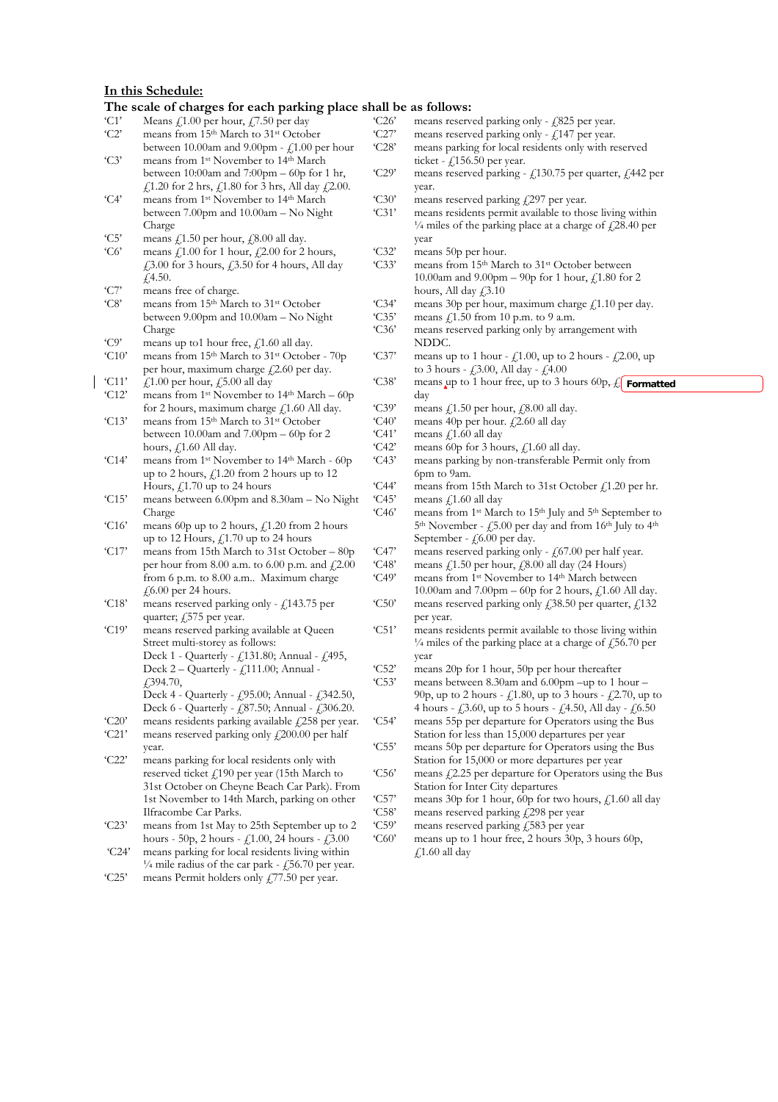### **In this Schedule:**

 $\overline{\phantom{a}}$ 

### **The scale of charges for each parking place shall be as follows:**

|                        | The searc of enarges for each partning p                                                                                                         | uvv onun dv    |                                                                                                      |
|------------------------|--------------------------------------------------------------------------------------------------------------------------------------------------|----------------|------------------------------------------------------------------------------------------------------|
| °C1                    | Means $\text{\textsterling}1.00$ per hour, $\text{\textsterling}7.50$ per day                                                                    | C26'           | means reserved parking only - $f$ ,825 per year.                                                     |
| C2                     | means from 15 <sup>th</sup> March to 31 <sup>st</sup> October                                                                                    | °C27           | means reserved parking only - $\text{\textsterling}147$ per year.                                    |
|                        | between 10.00am and 9.00pm - $\text{\textsterling}1.00$ per hour                                                                                 | °C28'          | means parking for local residents only with reserved                                                 |
| °C3                    | means from 1 <sup>st</sup> November to 14 <sup>th</sup> March                                                                                    |                | ticket - $f$ 156.50 per year.                                                                        |
|                        | between $10:00$ am and $7:00$ pm $-60$ p for 1 hr,                                                                                               | °C29'          | means reserved parking - £130.75 per quarter, £442 per                                               |
|                        | £1.20 for 2 hrs, £1.80 for 3 hrs, All day £2.00.                                                                                                 |                | year.                                                                                                |
| C4'                    | means from 1 <sup>st</sup> November to 14 <sup>th</sup> March                                                                                    | °C30'          | means reserved parking $f(297)$ per year.                                                            |
|                        | between 7.00pm and 10.00am – No Night                                                                                                            | °C31'          | means residents permit available to those living within                                              |
|                        | Charge                                                                                                                                           |                | $\frac{1}{4}$ miles of the parking place at a charge of £28.40 per                                   |
| °C5                    | means $\text{\textsterling}1.50$ per hour, $\text{\textsterling}8.00$ all day.                                                                   |                | year                                                                                                 |
| $^{\circ}\mathrm{C6'}$ | means $\text{\emph{f}}1.00$ for 1 hour, $\text{\emph{f}}2.00$ for 2 hours,                                                                       | °C32'          | means 50p per hour.                                                                                  |
|                        | $\text{\textsterling}3.00$ for 3 hours, $\text{\textsterling}3.50$ for 4 hours, All day                                                          | 'C33'          | means from 15 <sup>th</sup> March to 31 <sup>st</sup> October between                                |
|                        | $\angle 4.50.$                                                                                                                                   |                | 10.00am and 9.00pm – 90p for 1 hour, $f_1$ 1.80 for 2                                                |
| °C                     | means free of charge.                                                                                                                            |                | hours, All day $\sqrt{2}$ , 3.10                                                                     |
| °C8                    | means from 15 <sup>th</sup> March to 31 <sup>st</sup> October                                                                                    | °C34'          | means 30p per hour, maximum charge $\text{\emph{f}}1.10$ per day.                                    |
|                        | between 9.00pm and 10.00am - No Night                                                                                                            | °C35'          | means $\text{\textsterling}1.50$ from 10 p.m. to 9 a.m.                                              |
|                        | Charge                                                                                                                                           | °C36'          | means reserved parking only by arrangement with                                                      |
| C9'                    | means up to1 hour free, $f$ 1.60 all day.                                                                                                        |                | NDDC.                                                                                                |
| °C10'                  | means from 15 <sup>th</sup> March to 31 <sup>st</sup> October - 70p                                                                              | °C37'          | means up to 1 hour - $f_11.00$ , up to 2 hours - $f_22.00$ , up                                      |
|                        | per hour, maximum charge $\text{\textsterling}2.60$ per day.                                                                                     |                | to 3 hours - £3.00, All day - £4.00                                                                  |
| °C11                   | £1.00 per hour, £5.00 all day                                                                                                                    | $°C38'$        | means up to 1 hour free, up to 3 hours 60p, £ Formatted                                              |
| °C12                   | means from 1 <sup>st</sup> November to 14 <sup>th</sup> March – 60p                                                                              |                | day                                                                                                  |
|                        | for 2 hours, maximum charge $\text{\emph{f}}3.60$ All day.                                                                                       | 'C39'          | means $f(1.50)$ per hour, $f(8.00)$ all day.                                                         |
| °C13'                  | means from 15th March to 31st October                                                                                                            | °C40'          | means 40p per hour. $f(2.60 \text{ all day})$                                                        |
|                        | between 10.00am and $7.00 \text{pm} - 60 \text{p}$ for 2                                                                                         | °C41'          | means $\int$ ,1.60 all day                                                                           |
|                        | hours, $f$ , 1.60 All day.                                                                                                                       | C42'           | means 60p for 3 hours, $f$ , 1.60 all day.                                                           |
| °C14'                  | means from 1 <sup>st</sup> November to 14 <sup>th</sup> March - 60p                                                                              | °C43'          | means parking by non-transferable Permit only from                                                   |
|                        | up to 2 hours, $f_{\text{L}}(1.20)$ from 2 hours up to 12                                                                                        |                | 6pm to 9am.                                                                                          |
|                        | Hours, $f_{\text{L}}1.70$ up to 24 hours                                                                                                         | C44'           | means from 15th March to 31st October £1.20 per hr.                                                  |
| °C15                   | means between 6.00pm and 8.30am - No Night                                                                                                       | °C45'          | means $\int$ 1.60 all day                                                                            |
|                        | Charge                                                                                                                                           | 'C46'          | means from 1 <sup>st</sup> March to 15 <sup>th</sup> July and 5 <sup>th</sup> September to           |
| C16                    | means 60p up to 2 hours, $f(1.20)$ from 2 hours                                                                                                  |                | 5 <sup>th</sup> November - £5.00 per day and from 16 <sup>th</sup> July to 4 <sup>th</sup>           |
|                        | up to 12 Hours, $f_{\text{L}}$ 1.70 up to 24 hours                                                                                               |                | September - $\text{\textsterling}6.00$ per day.                                                      |
| °C17                   | means from 15th March to 31st October - 80p                                                                                                      | °C47'          | means reserved parking only - $\text{\emph{\textsterling}}67.00$ per half year.                      |
|                        | per hour from 8.00 a.m. to 6.00 p.m. and $\dot{\gamma}$ 2.00                                                                                     | °C48'          | means $\text{\textsterling}1.50$ per hour, $\text{\textsterling}8.00$ all day (24 Hours)             |
|                        | from 6 p.m. to 8.00 a.m Maximum charge                                                                                                           | °C49'          | means from 1 <sup>st</sup> November to 14 <sup>th</sup> March between                                |
|                        | $\text{\textsterling}6.00$ per 24 hours.                                                                                                         |                | 10.00am and 7.00pm – 60p for 2 hours, $f_{\rm L}$ 1.60 All day.                                      |
| °C18'                  | means reserved parking only - $\text{\textsterling}143.75$ per                                                                                   | °C50'          | means reserved parking only $\text{\textsterling}38.50$ per quarter, $\text{\textsterling}132$       |
|                        | quarter; $f_{.}$ 575 per year.                                                                                                                   |                | per year.                                                                                            |
| °C19'                  | means reserved parking available at Queen                                                                                                        | °C51'          | means residents permit available to those living within                                              |
|                        | Street multi-storey as follows:                                                                                                                  |                | $\frac{1}{4}$ miles of the parking place at a charge of £56.70 per                                   |
|                        | Deck 1 - Quarterly - £131.80; Annual - £495,                                                                                                     |                | year                                                                                                 |
|                        | Deck 2 – Quarterly - $f$ , 111.00; Annual -                                                                                                      | °C52           | means 20p for 1 hour, 50p per hour thereafter                                                        |
|                        | £394.70,                                                                                                                                         | °C53'          | means between 8.30am and 6.00pm -up to 1 hour -                                                      |
|                        | Deck 4 - Quarterly - £95.00; Annual - £342.50,                                                                                                   |                | 90p, up to 2 hours - $\text{\textsterling}1.80$ , up to 3 hours - $\text{\textsterling}2.70$ , up to |
|                        | Deck 6 - Quarterly - £87.50; Annual - £306.20.                                                                                                   |                | 4 hours - £3.60, up to 5 hours - £4.50, All day - £6.50                                              |
| C20'                   | means residents parking available £258 per year.                                                                                                 | °C54'          | means 55p per departure for Operators using the Bus                                                  |
| °C21                   | means reserved parking only $f_{12}^{200.00}$ per half                                                                                           |                | Station for less than 15,000 departures per year                                                     |
|                        | year.                                                                                                                                            | °C55           | means 50p per departure for Operators using the Bus                                                  |
| °C22                   | means parking for local residents only with                                                                                                      |                | Station for 15,000 or more departures per year                                                       |
|                        | reserved ticket $f_{\ell}$ 190 per year (15th March to                                                                                           | °C56'          | means $\text{\textsterling}2.25$ per departure for Operators using the Bus                           |
|                        | 31st October on Cheyne Beach Car Park). From                                                                                                     |                | Station for Inter City departures                                                                    |
|                        | 1st November to 14th March, parking on other                                                                                                     | °C57'          | means 30p for 1 hour, 60p for two hours, £1.60 all day                                               |
|                        | Ilfracombe Car Parks.                                                                                                                            | °C58'          | means reserved parking $\text{\textsterling}298$ per year                                            |
| °C23'                  | means from 1st May to 25th September up to 2                                                                                                     | °C59'<br>°C60' | means reserved parking £583 per year                                                                 |
|                        | hours - 50p, 2 hours - $\text{\emph{L}}1.00$ , 24 hours - $\text{\emph{L}}3.00$                                                                  |                | means up to 1 hour free, 2 hours 30p, 3 hours 60p,                                                   |
| °C24                   | means parking for local residents living within                                                                                                  |                | $\int$ ,1.60 all day                                                                                 |
| (0.05)                 | $\frac{1}{4}$ mile radius of the car park - $\frac{1}{4}$ , 56.70 per year.<br>$\ldots$ is the function of the $\ell$ $\pi$ $\pi$ $\pi$ $\alpha$ |                |                                                                                                      |

'C25' means Permit holders only £77.50 per year.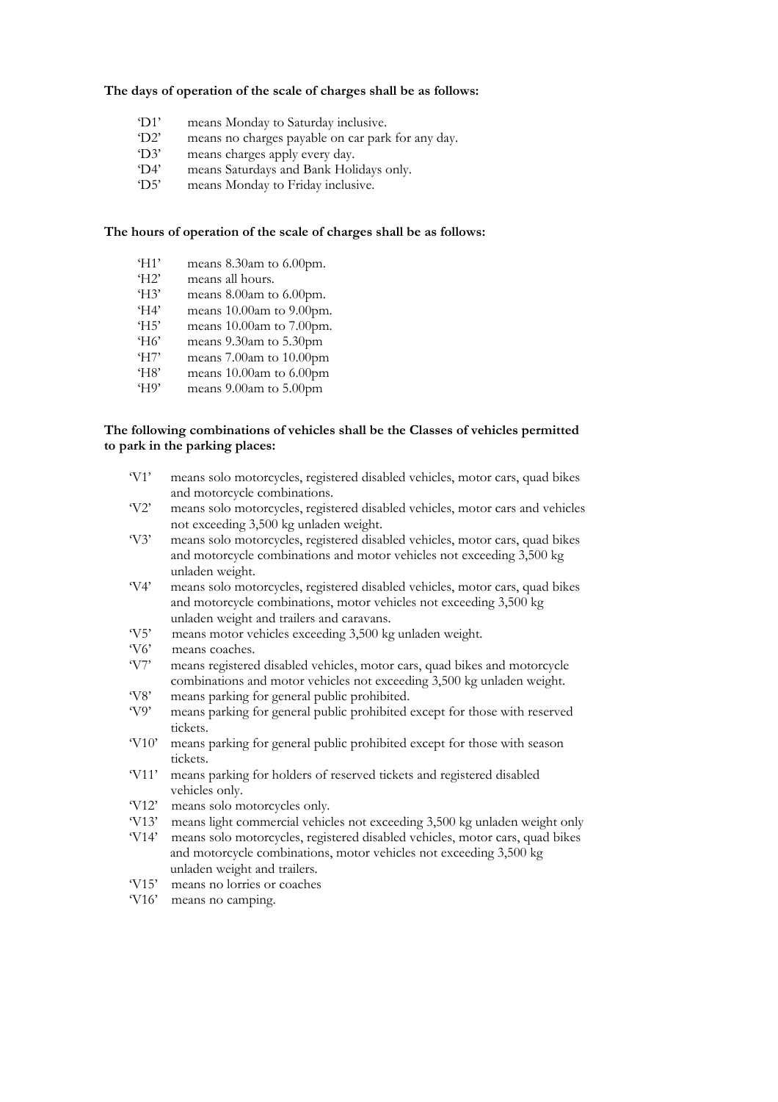#### **The days of operation of the scale of charges shall be as follows:**

- 'D1' means Monday to Saturday inclusive.<br>'D2' means no charges payable on car parl
- means no charges payable on car park for any day.
- 'D3' means charges apply every day.
- 'D4' means Saturdays and Bank Holidays only.
- 'D5' means Monday to Friday inclusive.

#### **The hours of operation of the scale of charges shall be as follows:**

- 'H1' means 8.30am to 6.00pm.
- 'H2' means all hours.
- 'H3' means 8.00am to 6.00pm.
- 'H4' means 10.00am to 9.00pm.
- 'H5' means 10.00am to 7.00pm.
- 'H6' means 9.30am to 5.30pm
- 'H7' means 7.00am to 10.00pm<br>'H8' means 10.00am to 6.00pm
- means 10.00am to 6.00pm
- 'H9' means 9.00am to 5.00pm

### **The following combinations of vehicles shall be the Classes of vehicles permitted to park in the parking places:**

- 'V1' means solo motorcycles, registered disabled vehicles, motor cars, quad bikes and motorcycle combinations.
- 'V2' means solo motorcycles, registered disabled vehicles, motor cars and vehicles not exceeding 3,500 kg unladen weight.
- 'V3' means solo motorcycles, registered disabled vehicles, motor cars, quad bikes and motorcycle combinations and motor vehicles not exceeding 3,500 kg unladen weight.
- 'V4' means solo motorcycles, registered disabled vehicles, motor cars, quad bikes and motorcycle combinations, motor vehicles not exceeding 3,500 kg unladen weight and trailers and caravans.
- 'V5' means motor vehicles exceeding 3,500 kg unladen weight.
- 'V6' means coaches.
- 'V7' means registered disabled vehicles, motor cars, quad bikes and motorcycle combinations and motor vehicles not exceeding 3,500 kg unladen weight.
- 'V8' means parking for general public prohibited.
- 'V9' means parking for general public prohibited except for those with reserved tickets.
- 'V10' means parking for general public prohibited except for those with season tickets.
- 'V11' means parking for holders of reserved tickets and registered disabled vehicles only.
- 'V12' means solo motorcycles only.
- 'V13' means light commercial vehicles not exceeding 3,500 kg unladen weight only
- 'V14' means solo motorcycles, registered disabled vehicles, motor cars, quad bikes and motorcycle combinations, motor vehicles not exceeding 3,500 kg unladen weight and trailers.
- 'V15' means no lorries or coaches
- 'V16' means no camping.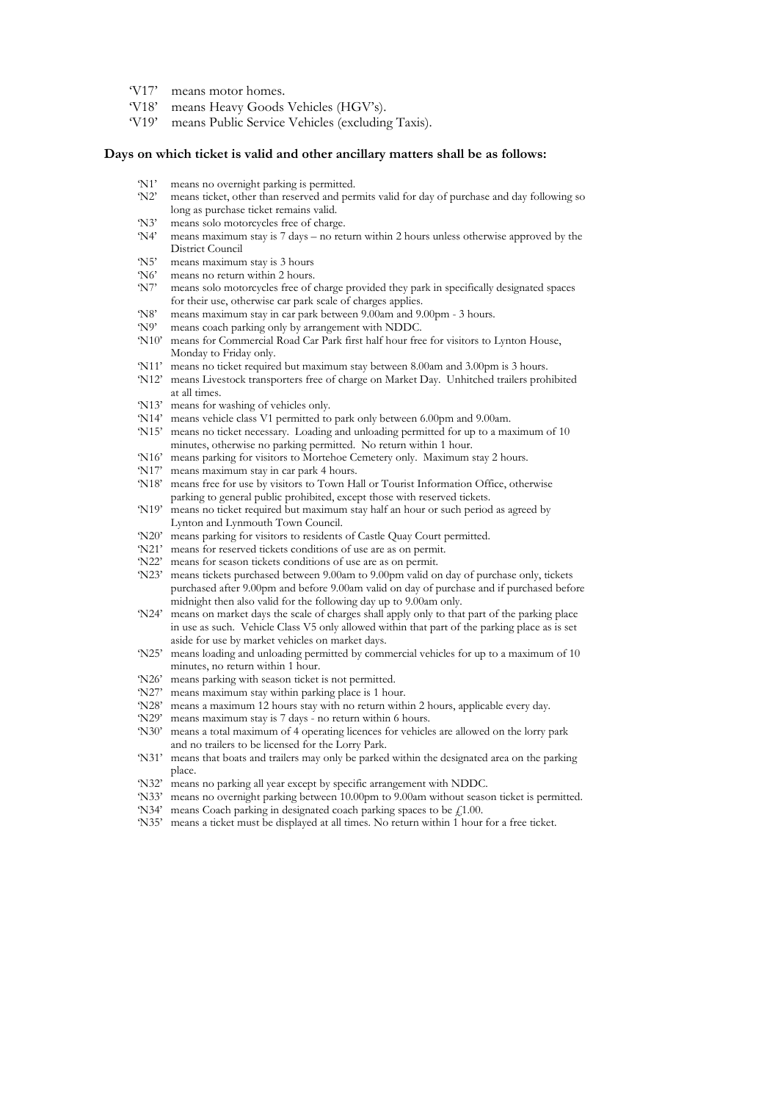- 'V17' means motor homes.
- 'V18' means Heavy Goods Vehicles (HGV's).
- 'V19' means Public Service Vehicles (excluding Taxis).

#### **Days on which ticket is valid and other ancillary matters shall be as follows:**

- 'N1' means no overnight parking is permitted.
- 'N2' means ticket, other than reserved and permits valid for day of purchase and day following so long as purchase ticket remains valid.
- N3' means solo motorcycles free of charge.<br>'N4' means maximum stay is 7 days no ret
- means maximum stay is 7 days no return within 2 hours unless otherwise approved by the District Council
- 'N5' means maximum stay is 3 hours
- 'N6' means no return within 2 hours.<br>'N7' means solo motorcycles free of a
- means solo motorcycles free of charge provided they park in specifically designated spaces for their use, otherwise car park scale of charges applies.
- 'N8' means maximum stay in car park between 9.00am and 9.00pm 3 hours.
- 'N9' means coach parking only by arrangement with NDDC.
- 'N10' means for Commercial Road Car Park first half hour free for visitors to Lynton House, Monday to Friday only.
- 'N11' means no ticket required but maximum stay between 8.00am and 3.00pm is 3 hours.
- 'N12' means Livestock transporters free of charge on Market Day. Unhitched trailers prohibited at all times.
- 'N13' means for washing of vehicles only.
- 'N14' means vehicle class V1 permitted to park only between 6.00pm and 9.00am.
- 'N15' means no ticket necessary. Loading and unloading permitted for up to a maximum of 10 minutes, otherwise no parking permitted. No return within 1 hour.
- 'N16' means parking for visitors to Mortehoe Cemetery only. Maximum stay 2 hours.
- 'N17' means maximum stay in car park 4 hours.
- 'N18' means free for use by visitors to Town Hall or Tourist Information Office, otherwise parking to general public prohibited, except those with reserved tickets.
- 'N19' means no ticket required but maximum stay half an hour or such period as agreed by Lynton and Lynmouth Town Council.
- 'N20' means parking for visitors to residents of Castle Quay Court permitted.
- 'N21' means for reserved tickets conditions of use are as on permit.
- 'N22' means for season tickets conditions of use are as on permit.
- 'N23' means tickets purchased between 9.00am to 9.00pm valid on day of purchase only, tickets purchased after 9.00pm and before 9.00am valid on day of purchase and if purchased before midnight then also valid for the following day up to 9.00am only.
- 'N24' means on market days the scale of charges shall apply only to that part of the parking place in use as such. Vehicle Class V5 only allowed within that part of the parking place as is set aside for use by market vehicles on market days.
- 'N25' means loading and unloading permitted by commercial vehicles for up to a maximum of 10 minutes, no return within 1 hour.
- 'N26' means parking with season ticket is not permitted.
- 'N27' means maximum stay within parking place is 1 hour.
- 'N28' means a maximum 12 hours stay with no return within 2 hours, applicable every day.
- 'N29' means maximum stay is 7 days no return within 6 hours.
- 'N30' means a total maximum of 4 operating licences for vehicles are allowed on the lorry park and no trailers to be licensed for the Lorry Park.
- 'N31' means that boats and trailers may only be parked within the designated area on the parking place.
- 'N32' means no parking all year except by specific arrangement with NDDC.
- 'N33' means no overnight parking between 10.00pm to 9.00am without season ticket is permitted.
- 'N34' means Coach parking in designated coach parking spaces to be  $f<sub>1</sub>1.00$ .
- 'N35' means a ticket must be displayed at all times. No return within 1 hour for a free ticket.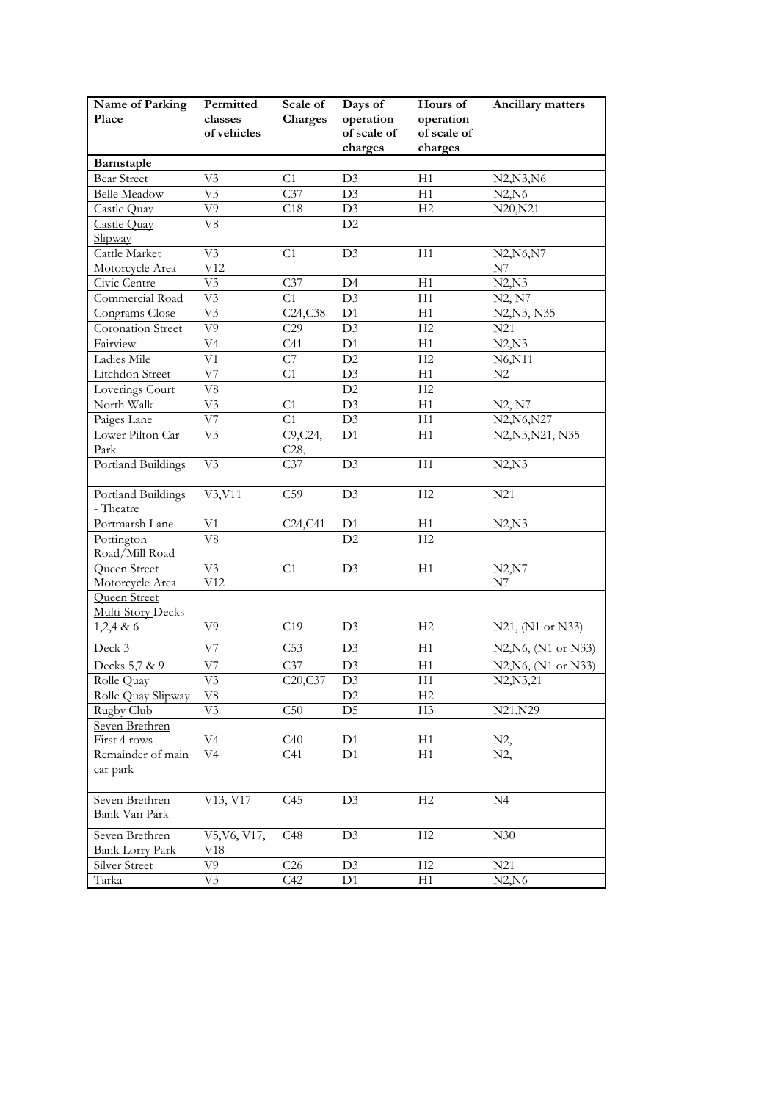| Name of Parking                 | Permitted              | Scale of             | Days of                  | Hours of                 | Ancillary matters   |
|---------------------------------|------------------------|----------------------|--------------------------|--------------------------|---------------------|
| Place                           | classes<br>of vehicles | Charges              | operation<br>of scale of | operation<br>of scale of |                     |
|                                 |                        |                      | charges                  | charges                  |                     |
| Barnstaple                      |                        |                      |                          |                          |                     |
| <b>Bear Street</b>              | V <sub>3</sub>         | C <sub>1</sub>       | D3                       | H1                       | N2, N3, N6          |
| <b>Belle Meadow</b>             | V <sub>3</sub>         | $\overline{C37}$     | D <sub>3</sub>           | H1                       | N2, N6              |
| Castle Quay                     | V9                     | C18                  | D <sub>3</sub>           | H2                       | N20, N21            |
| Castle Quay                     | V8                     |                      | D2                       |                          |                     |
| Slipway                         |                        |                      |                          |                          |                     |
| Cattle Market                   | V <sub>3</sub>         | C1                   | D <sub>3</sub>           | H1                       | N2, N6, N7          |
| Motorcycle Area                 | V12                    |                      |                          |                          | N7                  |
| Civic Centre                    | $\overline{\text{V3}}$ | $\overline{C37}$     | D <sub>4</sub>           | H1                       | N2,N3               |
| Commercial Road                 | V <sub>3</sub>         | C <sub>1</sub>       | D <sub>3</sub>           | H1                       | N2, N7              |
| Congrams Close                  | V <sub>3</sub>         | C24, C38             | D1                       | H1                       | N2, N3, N35         |
| Coronation Street               | V9                     | C29                  | D <sub>3</sub>           | H2                       | N21                 |
| Fairview                        | V4                     | C <sub>41</sub>      | D <sub>1</sub>           | H1                       | N2, N3              |
| Ladies Mile                     | V <sub>1</sub>         | C7                   | D2                       | H2                       | N6,N11              |
| Litchdon Street                 | $V$ 7                  | C <sub>1</sub>       | D <sub>3</sub>           | H1                       | N <sub>2</sub>      |
| Loverings Court                 | V8                     |                      | D2                       | H2                       |                     |
| North Walk                      | V3                     | C1                   | D <sub>3</sub>           | H1                       | N2, N7              |
| Paiges Lane                     | V7                     | C1                   | D <sub>3</sub>           | H1                       | N2, N6, N27         |
| Lower Pilton Car                | V <sub>3</sub>         | $C\overline{9, C24}$ | D1                       | H1                       | N2, N3, N21, N35    |
| Park                            |                        | C28,                 |                          |                          |                     |
| Portland Buildings              | V <sub>3</sub>         | C37                  | D <sub>3</sub>           | H1                       | N2,N3               |
| Portland Buildings<br>- Theatre | V3, V11                | C59                  | D <sub>3</sub>           | H2                       | N21                 |
| Portmarsh Lane                  | V1                     | C24,C41              | D1                       | H1                       | N2,N3               |
| Pottington                      | V8                     |                      | $\rm{D}2$                | H2                       |                     |
| Road/Mill Road                  |                        |                      |                          |                          |                     |
| Queen Street                    | V <sub>3</sub>         | C1                   | D <sub>3</sub>           | H1                       | N2, N7              |
| Motorcycle Area                 | V12                    |                      |                          |                          | N7                  |
| <b>Queen Street</b>             |                        |                      |                          |                          |                     |
| Multi-Story Decks<br>1,2,4 & 6  | V9                     | C19                  | D <sub>3</sub>           | H <sub>2</sub>           | N21, (N1 or N33)    |
|                                 |                        |                      |                          |                          |                     |
| Deck 3                          | V7                     | C53                  | D <sub>3</sub>           | H1                       | N2, N6, (N1 or N33) |
| Decks 5,7 & 9                   | V <sub>7</sub>         | C37                  | D3                       | H1                       | N2, N6, (N1 or N33) |
| Rolle Quay                      | V3                     | C20, C37             | $\overline{D3}$          | H1                       | N2, N3, 21          |
| Rolle Quay Slipway              | V8                     |                      | D2                       | H <sub>2</sub>           |                     |
| Rugby Club                      | V3                     | C50                  | D <sub>5</sub>           | H3                       | N21, N29            |
| Seven Brethren                  |                        |                      |                          |                          |                     |
| First 4 rows                    | V4                     | C40                  | D <sub>1</sub>           | H1                       | N2,                 |
| Remainder of main               | V <sub>4</sub>         | C <sub>41</sub>      | D1                       | H1                       | N2,                 |
| car park                        |                        |                      |                          |                          |                     |
| Seven Brethren                  | V13, V17               | C45                  | D <sub>3</sub>           | H2                       | N4                  |
| Bank Van Park                   |                        |                      |                          |                          |                     |
| Seven Brethren                  | V5, V6, V17,           | C48                  | D <sub>3</sub>           | H2                       | N30                 |
| <b>Bank Lorry Park</b>          | V18                    |                      |                          |                          |                     |
| Silver Street                   | V9                     | C <sub>26</sub>      | D3                       | H2                       | N21                 |
| Tarka                           | V3                     | C42                  | D1                       | H1                       | N2,N6               |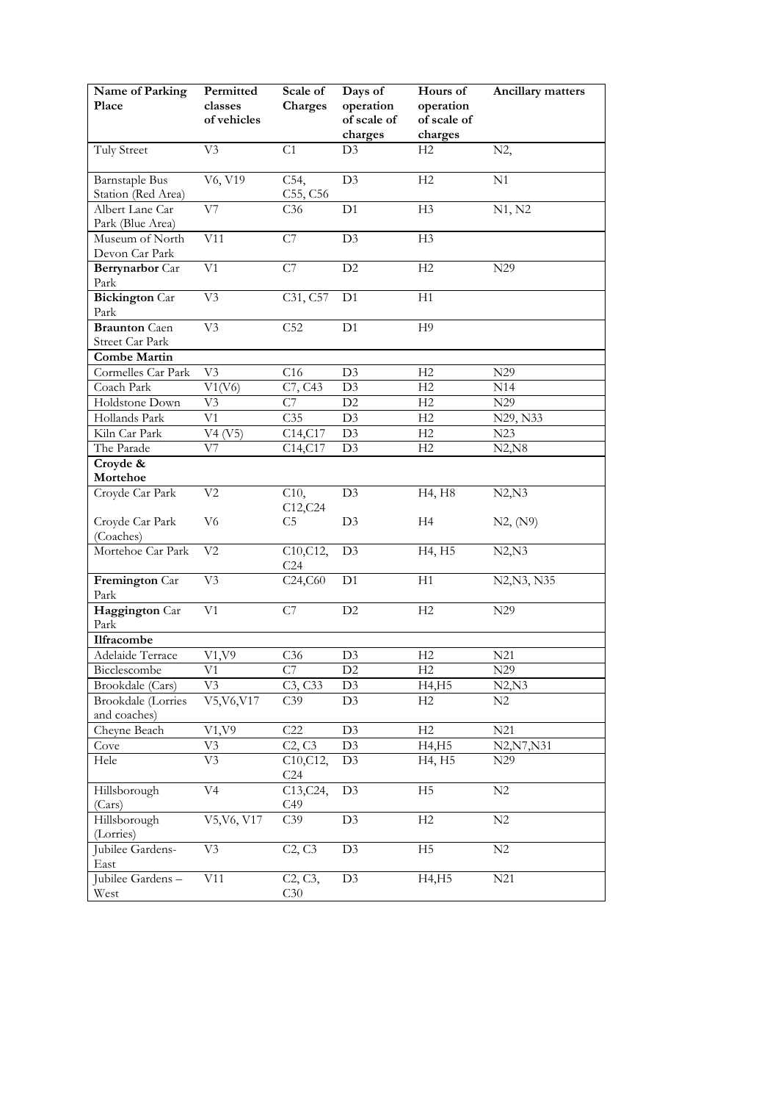| Name of Parking<br>Place                    | Permitted<br>classes<br>of vehicles | Scale of<br>Charges                                    | Days of<br>operation<br>of scale of | Hours of<br>operation<br>of scale of | Ancillary matters |
|---------------------------------------------|-------------------------------------|--------------------------------------------------------|-------------------------------------|--------------------------------------|-------------------|
|                                             |                                     |                                                        | charges                             | charges                              |                   |
| Tuly Street                                 | V <sub>3</sub>                      | C <sub>1</sub>                                         | D <sub>3</sub>                      | H2                                   | N2,               |
| <b>Barnstaple Bus</b><br>Station (Red Area) | V6, V19                             | C54,<br>C55, C56                                       | D3                                  | H2                                   | N1                |
| Albert Lane Car<br>Park (Blue Area)         | V7                                  | C36                                                    | D <sub>1</sub>                      | H <sub>3</sub>                       | N1, N2            |
| Museum of North<br>Devon Car Park           | V11                                 | C7                                                     | D3                                  | H <sub>3</sub>                       |                   |
| Berrynarbor Car<br>Park                     | V1                                  | C7                                                     | $\rm{D}2$                           | H2                                   | N29               |
| <b>Bickington</b> Car<br>Park               | V <sub>3</sub>                      | C31, C57                                               | D1                                  | H1                                   |                   |
| <b>Braunton</b> Caen<br>Street Car Park     | V <sub>3</sub>                      | C52                                                    | D1                                  | H <sub>9</sub>                       |                   |
| <b>Combe Martin</b>                         |                                     |                                                        |                                     |                                      |                   |
| Cormelles Car Park                          | V3                                  | C16                                                    | D <sub>3</sub>                      | H2                                   | N29               |
| Coach Park                                  | V1(V6)                              | C7, C43                                                | D <sub>3</sub>                      | H2                                   | N <sub>14</sub>   |
| Holdstone Down                              | V3                                  | C7                                                     | D2                                  | H2                                   | N29               |
| Hollands Park                               | V1                                  | C <sub>35</sub>                                        | D <sub>3</sub>                      | H2                                   | N29, N33          |
| Kiln Car Park                               | V4 (V5)                             | C14,C17                                                | D <sub>3</sub>                      | H2                                   | N23               |
| The Parade                                  | V7                                  | C14,C17                                                | D <sub>3</sub>                      | H2                                   | N2, N8            |
| Croyde &                                    |                                     |                                                        |                                     |                                      |                   |
| Mortehoe                                    | V <sub>2</sub>                      | C10,                                                   | D <sub>3</sub>                      | H4, H8                               | N2,N3             |
| Croyde Car Park                             |                                     | C12, C24                                               |                                     |                                      |                   |
| Croyde Car Park<br>(Coaches)                | V6                                  | C <sub>5</sub>                                         | D3                                  | H4                                   | N2, (N9)          |
| Mortehoe Car Park                           | V <sub>2</sub>                      | C10, C12,<br>C <sub>24</sub>                           | D <sub>3</sub>                      | H4, H5                               | N2,N3             |
| Fremington Car<br>Park                      | V <sub>3</sub>                      | C24,C60                                                | D1                                  | H1                                   | N2, N3, N35       |
| Haggington Car<br>Park                      | V <sub>1</sub>                      | C7                                                     | D2                                  | H2                                   | N29               |
| Ilfracombe                                  |                                     |                                                        |                                     |                                      |                   |
| Adelaide Terrace                            | V1,V9                               | C <sub>36</sub>                                        | D <sub>3</sub>                      | H2                                   | N21               |
| Bicclescombe                                | V1                                  | C7                                                     | D2                                  | H <sub>2</sub>                       | N29               |
| Brookdale (Cars)                            | V3                                  | C3, C33                                                | D <sub>3</sub>                      | H4,H5                                | N2,N3             |
| Brookdale (Lorries<br>and coaches)          | V5, V6, V17                         | C <sub>39</sub>                                        | D <sub>3</sub>                      | H2                                   | N2                |
| Cheyne Beach                                | V1, V9                              | C <sub>22</sub>                                        | D <sub>3</sub>                      | H2                                   | N21               |
| Cove                                        | V3                                  | C <sub>2</sub> , C <sub>3</sub>                        | D <sub>3</sub>                      | H4,H5                                | N2, N7, N31       |
| Hele                                        | V3                                  | C <sub>10</sub> , C <sub>12</sub> ,<br>C <sub>24</sub> | D <sub>3</sub>                      | H4, H5                               | N29               |
| Hillsborough<br>(Cars)                      | V <sub>4</sub>                      | C13, C24,<br>C49                                       | D <sub>3</sub>                      | H <sub>5</sub>                       | N2                |
| Hillsborough<br>(Lorries)                   | V5, V6, V17                         | C39                                                    | D <sub>3</sub>                      | H2                                   | N2                |
| Jubilee Gardens-<br>East                    | V3                                  | C2, C3                                                 | D <sub>3</sub>                      | H5                                   | N2                |
| Jubilee Gardens-<br>West                    | V11                                 | C2, C3,<br>C30                                         | D <sub>3</sub>                      | H4,H5                                | N21               |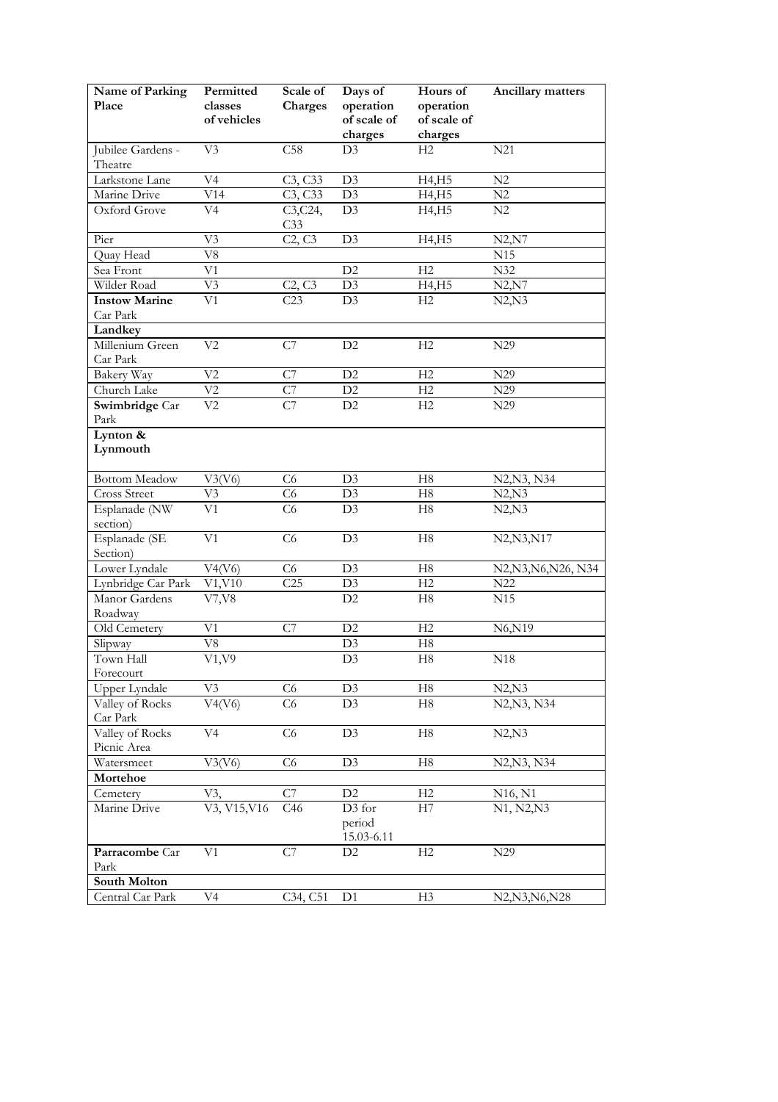| Name of Parking<br>Place         | Permitted<br>classes<br>of vehicles | Scale of<br>Charges             | Days of<br>operation<br>of scale of<br>charges | Hours of<br>operation<br>of scale of<br>charges | Ancillary matters                |
|----------------------------------|-------------------------------------|---------------------------------|------------------------------------------------|-------------------------------------------------|----------------------------------|
| Jubilee Gardens -<br>Theatre     | V <sub>3</sub>                      | C58                             | D <sub>3</sub>                                 | H2                                              | N21                              |
| Larkstone Lane                   | V <sub>4</sub>                      | C3, C33                         | D <sub>3</sub>                                 | H4,H5                                           | $\rm N2$                         |
| Marine Drive                     | V14                                 | C3, C33                         | D3                                             | H4,H5                                           | N2                               |
| Oxford Grove                     | V <sub>4</sub>                      | C3, C24,<br>C33                 | D <sub>3</sub>                                 | H4,H5                                           | N2                               |
| Pier                             | V3                                  | C <sub>2</sub> , C <sub>3</sub> | D <sub>3</sub>                                 | H4,H5                                           | N2,N7                            |
| Quay Head                        | V8                                  |                                 |                                                |                                                 | N <sub>15</sub>                  |
| Sea Front                        | V1                                  |                                 | D2                                             | H <sub>2</sub>                                  | N32                              |
| Wilder Road                      | V3                                  | C2, C3                          | D <sub>3</sub>                                 | H4,H5                                           | N2, N7                           |
| <b>Instow Marine</b><br>Car Park | V1                                  | C23                             | D <sub>3</sub>                                 | H <sub>2</sub>                                  | N2,N3                            |
| Landkey                          |                                     |                                 |                                                |                                                 |                                  |
| Millenium Green<br>Car Park      | V <sub>2</sub>                      | C7                              | D2                                             | H2                                              | N29                              |
| Bakery Way                       | V <sub>2</sub>                      | C7                              | D2                                             | H2                                              | N29                              |
| Church Lake                      | V <sub>2</sub>                      | C7                              | $\rm{D}2$                                      | H2                                              | N29                              |
| Swimbridge Car<br>Park           | V <sub>2</sub>                      | C7                              | D2                                             | H2                                              | N29                              |
| Lynton &<br>Lynmouth             |                                     |                                 |                                                |                                                 |                                  |
| <b>Bottom Meadow</b>             | V3(V6)                              | C6                              | D <sub>3</sub>                                 | H8                                              | N2, N3, N34                      |
| Cross Street                     | V3                                  | C6                              | D <sub>3</sub>                                 | H8                                              | N2,N3                            |
| Esplanade (NW<br>section)        | V <sub>1</sub>                      | C6                              | D3                                             | H8                                              | N2,N3                            |
| Esplanade (SE<br>Section)        | V1                                  | C6                              | D <sub>3</sub>                                 | H8                                              | N2, N3, N17                      |
| Lower Lyndale                    | V4(V6)                              | C6                              | D <sub>3</sub>                                 | H <sub>8</sub>                                  | N2, N3, N6, N26, N34             |
| Lynbridge Car Park               | V1, V10                             | C <sub>25</sub>                 | D <sub>3</sub>                                 | H2                                              | N22                              |
| Manor Gardens<br>Roadway         | V7, V8                              |                                 | D <sub>2</sub>                                 | H <sub>8</sub>                                  | N <sub>15</sub>                  |
| Old Cemetery                     | V1                                  | C7                              | D2                                             | H2                                              | N6,N19                           |
| Slipway                          | ${\rm V}8$                          |                                 | D <sub>3</sub>                                 | H <sub>8</sub>                                  |                                  |
| Town Hall<br>Forecourt           | V1, V9                              |                                 | D3                                             | $\rm H8$                                        | N18                              |
| Upper Lyndale                    | V3                                  | C6                              | D <sub>3</sub>                                 | H <sub>8</sub>                                  | N2,N3                            |
| Valley of Rocks<br>Car Park      | V4(V6)                              | C6                              | D3                                             | $\rm H8$                                        | N2, N3, N34                      |
| Valley of Rocks<br>Picnic Area   | V <sub>4</sub>                      | C <sub>6</sub>                  | D <sub>3</sub>                                 | H8                                              | N2,N3                            |
| Watersmeet                       | V3(V6)                              | C6                              | D <sub>3</sub>                                 | H <sub>8</sub>                                  | N2, N3, N34                      |
| Mortehoe                         |                                     |                                 |                                                |                                                 |                                  |
| Cemetery                         | V3,                                 | C7                              | D2                                             | H2                                              | N <sub>16</sub> , N <sub>1</sub> |
| Marine Drive                     | V3, V15, V16                        | C46                             | D3 for<br>period<br>15.03-6.11                 | Н7                                              | N1, N2, N3                       |
| Parracombe Car<br>Park           | V1                                  | C7                              | D <sub>2</sub>                                 | H2                                              | N29                              |
| South Molton                     |                                     |                                 |                                                |                                                 |                                  |
| Central Car Park                 | V4                                  | C34, C51                        | D1                                             | H <sub>3</sub>                                  | N2, N3, N6, N28                  |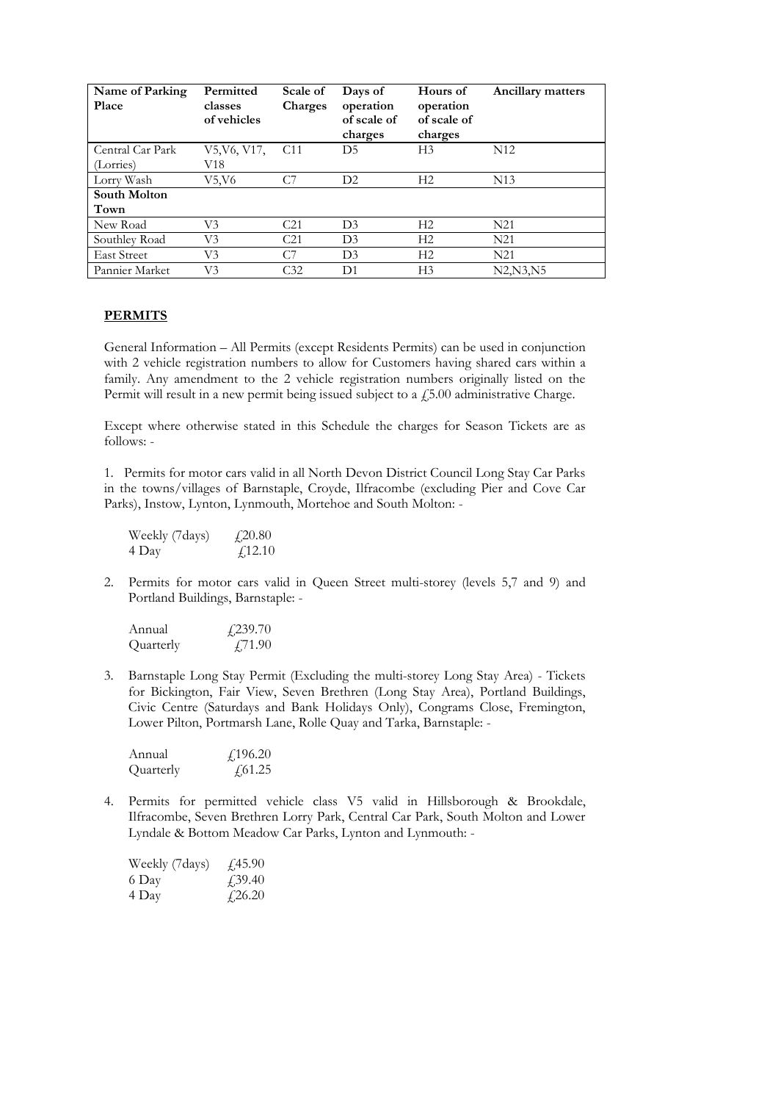| Name of Parking<br>Place | Permitted<br>classes<br>of vehicles | Scale of<br>Charges | Days of<br>operation<br>of scale of<br>charges | Hours of<br>operation<br>of scale of<br>charges | Ancillary matters |
|--------------------------|-------------------------------------|---------------------|------------------------------------------------|-------------------------------------------------|-------------------|
| Central Car Park         | V5, V6, V17,                        | C <sub>11</sub>     | D5                                             | H3                                              | N <sub>12</sub>   |
| (Lorries)                | V18                                 |                     |                                                |                                                 |                   |
| Lorry Wash               | V5.V6                               | C <sub>7</sub>      | D2                                             | H <sub>2</sub>                                  | N <sub>13</sub>   |
| South Molton             |                                     |                     |                                                |                                                 |                   |
| Town                     |                                     |                     |                                                |                                                 |                   |
| New Road                 | V3                                  | C <sub>21</sub>     | D <sub>3</sub>                                 | H <sub>2</sub>                                  | N <sub>21</sub>   |
| Southley Road            | V3                                  | C <sub>21</sub>     | D <sub>3</sub>                                 | H <sub>2</sub>                                  | N <sub>21</sub>   |
| <b>East Street</b>       | V3                                  | C7                  | D <sub>3</sub>                                 | H <sub>2</sub>                                  | N <sub>21</sub>   |
| Pannier Market           | V3                                  | C <sub>32</sub>     | D <sub>1</sub>                                 | H <sub>3</sub>                                  | N2.N3.N5          |

# **PERMITS**

General Information – All Permits (except Residents Permits) can be used in conjunction with 2 vehicle registration numbers to allow for Customers having shared cars within a family. Any amendment to the 2 vehicle registration numbers originally listed on the Permit will result in a new permit being issued subject to a  $f$ 5.00 administrative Charge.

Except where otherwise stated in this Schedule the charges for Season Tickets are as follows: -

1. Permits for motor cars valid in all North Devon District Council Long Stay Car Parks in the towns/villages of Barnstaple, Croyde, Ilfracombe (excluding Pier and Cove Car Parks), Instow, Lynton, Lynmouth, Mortehoe and South Molton: -

| Weekly (7days) | £20.80                      |
|----------------|-----------------------------|
| 4 Day          | $\text{\textsterling}12.10$ |

2. Permits for motor cars valid in Queen Street multi-storey (levels 5,7 and 9) and Portland Buildings, Barnstaple: -

| Annual           | $\sqrt{239.70}$ |
|------------------|-----------------|
| <b>Ouarterly</b> | £71.90          |

3. Barnstaple Long Stay Permit (Excluding the multi-storey Long Stay Area) - Tickets for Bickington, Fair View, Seven Brethren (Long Stay Area), Portland Buildings, Civic Centre (Saturdays and Bank Holidays Only), Congrams Close, Fremington, Lower Pilton, Portmarsh Lane, Rolle Quay and Tarka, Barnstaple: -

| Annual    | $f$ 196.20     |
|-----------|----------------|
| Quarterly | $\sqrt{61.25}$ |

4. Permits for permitted vehicle class V5 valid in Hillsborough & Brookdale, Ilfracombe, Seven Brethren Lorry Park, Central Car Park, South Molton and Lower Lyndale & Bottom Meadow Car Parks, Lynton and Lynmouth: -

| Weekly (7days) | $\sqrt{45.90}$ |
|----------------|----------------|
| 6 Day          | $\sqrt{39.40}$ |
| 4 Day          | $\sqrt{26.20}$ |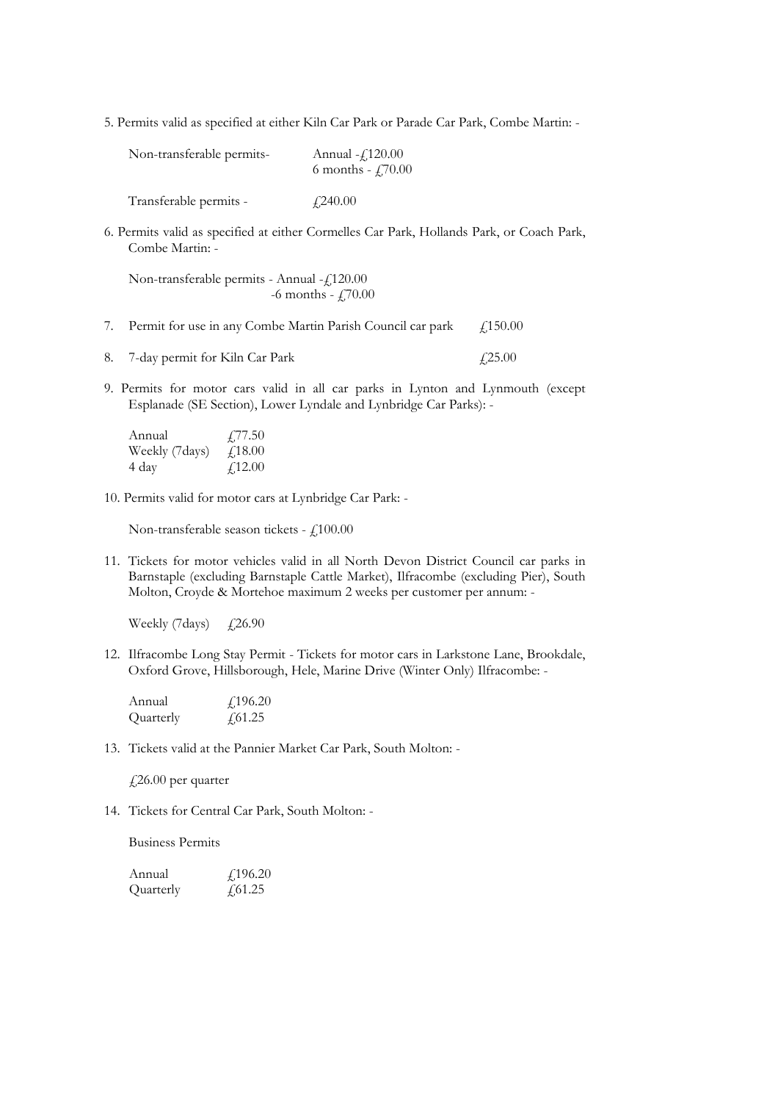5. Permits valid as specified at either Kiln Car Park or Parade Car Park, Combe Martin: -

| Non-transferable permits- | Annual $ f$ ,120.00<br>6 months - $470.00$ |
|---------------------------|--------------------------------------------|
| Transferable permits -    | $\angle 240.00$                            |

6. Permits valid as specified at either Cormelles Car Park, Hollands Park, or Coach Park, Combe Martin: -

Non-transferable permits - Annual -  $f$ <sub>120.00</sub>  $-6$  months  $- f$ , 70.00

- 7. Permit for use in any Combe Martin Parish Council car park £150.00
- 8. 7-day permit for Kiln Car Park  $\angle$  £25.00
- 9. Permits for motor cars valid in all car parks in Lynton and Lynmouth (except Esplanade (SE Section), Lower Lyndale and Lynbridge Car Parks): -

| Annual         | $\sqrt{77.50}$ |
|----------------|----------------|
| Weekly (7days) | f18.00         |
| 4 day          | £12.00         |

10. Permits valid for motor cars at Lynbridge Car Park: -

Non-transferable season tickets - £100.00

11. Tickets for motor vehicles valid in all North Devon District Council car parks in Barnstaple (excluding Barnstaple Cattle Market), Ilfracombe (excluding Pier), South Molton, Croyde & Mortehoe maximum 2 weeks per customer per annum: -

Weekly (7days)  $\angle$  £26.90

12. Ilfracombe Long Stay Permit - Tickets for motor cars in Larkstone Lane, Brookdale, Oxford Grove, Hillsborough, Hele, Marine Drive (Winter Only) Ilfracombe: -

| Annual    | $f$ , 196.20   |
|-----------|----------------|
| Quarterly | $\sqrt{61.25}$ |

13. Tickets valid at the Pannier Market Car Park, South Molton: -

£26.00 per quarter

14. Tickets for Central Car Park, South Molton: -

Business Permits

| Annual    | $f$ , 196.20   |
|-----------|----------------|
| Quarterly | $\sqrt{61.25}$ |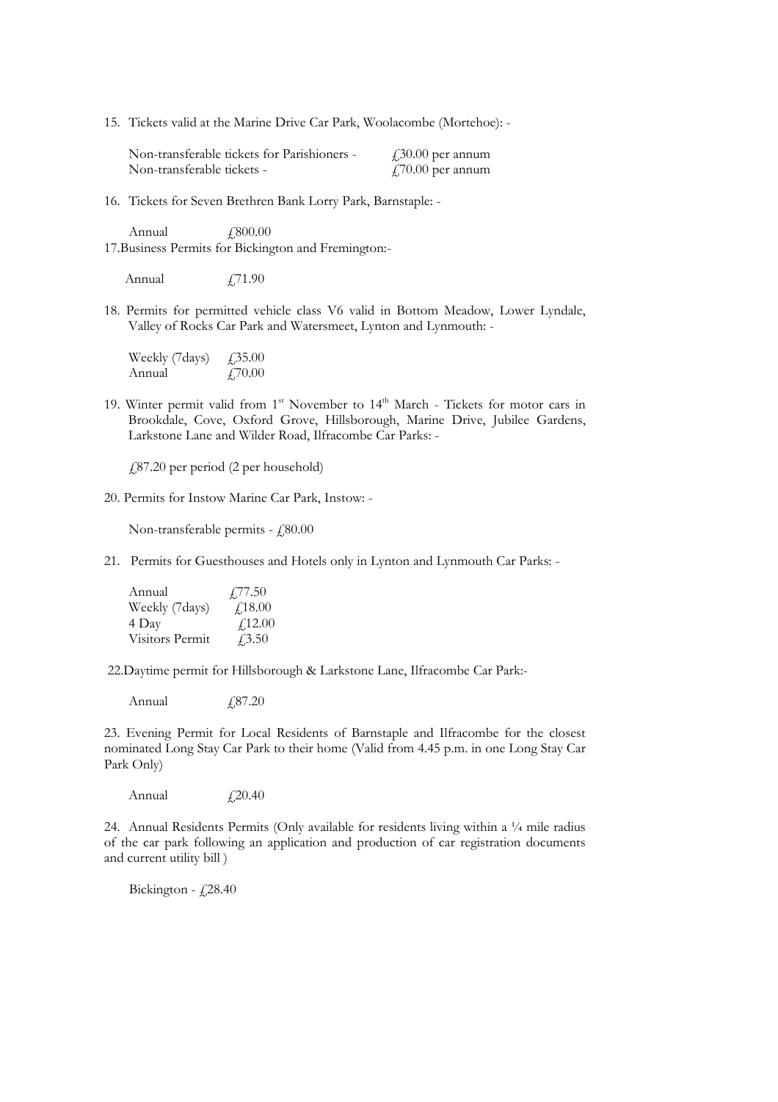15. Tickets valid at the Marine Drive Car Park, Woolacombe (Mortehoe): -

| Non-transferable tickets for Parishioners - | $\text{\textsterling}30.00$ per annum |
|---------------------------------------------|---------------------------------------|
| Non-transferable tickets -                  | $\text{\textsterling}70.00$ per annum |

16. Tickets for Seven Brethren Bank Lorry Park, Barnstaple: -

Annual  $£800.00$ 17.Business Permits for Bickington and Fremington:-

Annual  $f$ ,71.90

18. Permits for permitted vehicle class V6 valid in Bottom Meadow, Lower Lyndale, Valley of Rocks Car Park and Watersmeet, Lynton and Lynmouth: -

Weekly (7days)  $\angle$  £35.00 Annual  $f70.00$ 

19. Winter permit valid from 1<sup>st</sup> November to 14<sup>th</sup> March - Tickets for motor cars in Brookdale, Cove, Oxford Grove, Hillsborough, Marine Drive, Jubilee Gardens, Larkstone Lane and Wilder Road, Ilfracombe Car Parks: -

£87.20 per period (2 per household)

20. Permits for Instow Marine Car Park, Instow: -

Non-transferable permits - £80.00

21. Permits for Guesthouses and Hotels only in Lynton and Lynmouth Car Parks: -

| Annual          | $\sqrt{77.50}$ |
|-----------------|----------------|
| Weekly (7days)  | f18.00         |
| 4 Day           | f12.00         |
| Visitors Permit | $\sqrt{3.50}$  |

22.Daytime permit for Hillsborough & Larkstone Lane, Ilfracombe Car Park:-

Annual  $\angle$  487.20

23. Evening Permit for Local Residents of Barnstaple and Ilfracombe for the closest nominated Long Stay Car Park to their home (Valid from 4.45 p.m. in one Long Stay Car Park Only)

Annual  $f$ 20.40

24. Annual Residents Permits (Only available for residents living within a 1/4 mile radius of the car park following an application and production of car registration documents and current utility bill )

Bickington -  $\text{\textsterling}28.40$